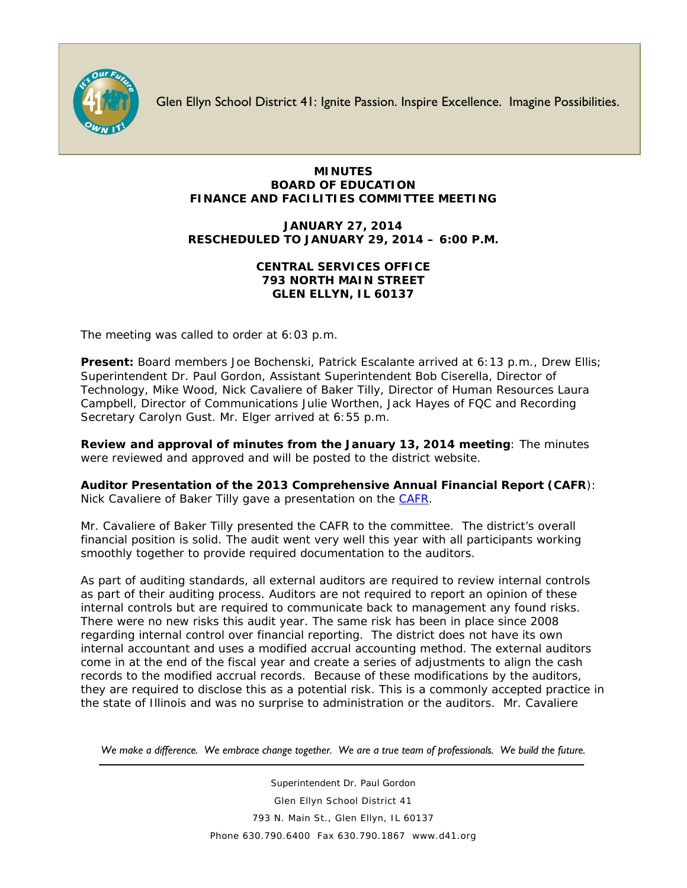

Glen Ellyn School District 41: Ignite Passion. Inspire Excellence. Imagine Possibilities.

## **MINUTES BOARD OF EDUCATION FINANCE AND FACILITIES COMMITTEE MEETING**

## **JANUARY 27, 2014 RESCHEDULED TO JANUARY 29, 2014 – 6:00 P.M.**

## **CENTRAL SERVICES OFFICE 793 NORTH MAIN STREET GLEN ELLYN, IL 60137**

The meeting was called to order at 6:03 p.m.

**Present:** Board members Joe Bochenski, Patrick Escalante arrived at 6:13 p.m., Drew Ellis; Superintendent Dr. Paul Gordon, Assistant Superintendent Bob Ciserella, Director of Technology, Mike Wood, Nick Cavaliere of Baker Tilly, Director of Human Resources Laura Campbell, Director of Communications Julie Worthen, Jack Hayes of FQC and Recording Secretary Carolyn Gust. Mr. Elger arrived at 6:55 p.m.

**Review and approval of minutes from the January 13, 2014 meeting**: The minutes were reviewed and approved and will be posted to the district website.

**Auditor Presentation of the 2013 Comprehensive Annual Financial Report (CAFR**): Nick Cavaliere of Baker Tilly gave a presentation on the [CAFR.](http://www.d41.org/finances/cafr_2013.pdf)

Mr. Cavaliere of Baker Tilly presented the CAFR to the committee. The district's overall financial position is solid. The audit went very well this year with all participants working smoothly together to provide required documentation to the auditors.

As part of auditing standards, all external auditors are required to review internal controls as part of their auditing process. Auditors are not required to report an opinion of these internal controls but are required to communicate back to management any found risks. There were no new risks this audit year. The same risk has been in place since 2008 regarding internal control over financial reporting. The district does not have its own internal accountant and uses a modified accrual accounting method. The external auditors come in at the end of the fiscal year and create a series of adjustments to align the cash records to the modified accrual records. Because of these modifications by the auditors, they are required to disclose this as a potential risk. This is a commonly accepted practice in the state of Illinois and was no surprise to administration or the auditors. Mr. Cavaliere

*We make a difference. We embrace change together. We are a true team of professionals. We build the future.*

Superintendent Dr. Paul Gordon Glen Ellyn School District 41 793 N. Main St., Glen Ellyn, IL 60137 Phone 630.790.6400 Fax 630.790.1867 www.d41.org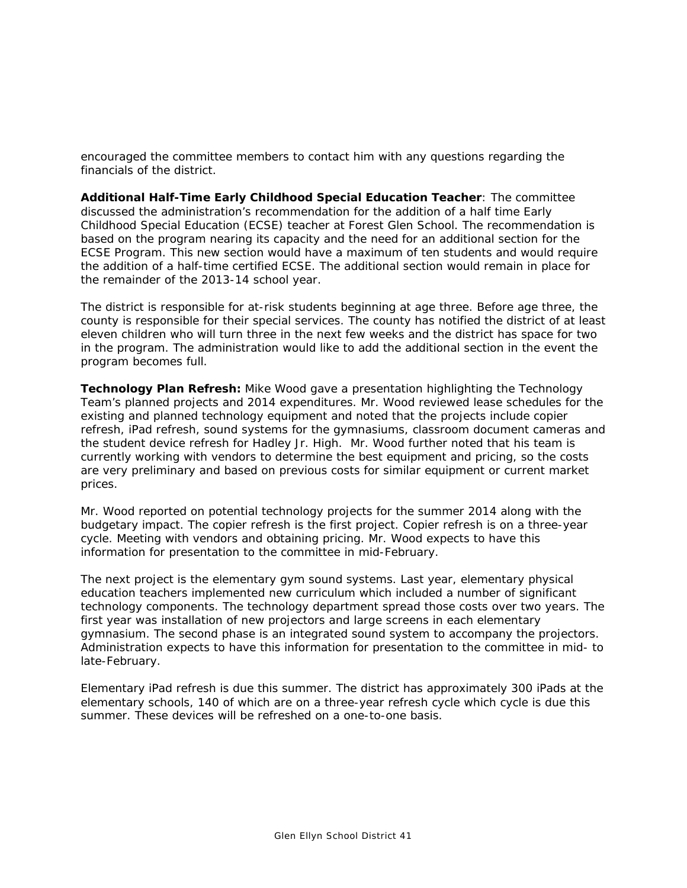encouraged the committee members to contact him with any questions regarding the financials of the district.

**Additional Half-Time Early Childhood Special Education Teacher**: The committee discussed the administration's recommendation for the addition of a half time Early Childhood Special Education (ECSE) teacher at Forest Glen School. The recommendation is based on the program nearing its capacity and the need for an additional section for the ECSE Program. This new section would have a maximum of ten students and would require the addition of a half-time certified ECSE. The additional section would remain in place for the remainder of the 2013-14 school year.

The district is responsible for at-risk students beginning at age three. Before age three, the county is responsible for their special services. The county has notified the district of at least eleven children who will turn three in the next few weeks and the district has space for two in the program. The administration would like to add the additional section in the event the program becomes full.

**Technology Plan Refresh:** Mike Wood gave a presentation highlighting the Technology Team's planned projects and 2014 expenditures. Mr. Wood reviewed lease schedules for the existing and planned technology equipment and noted that the projects include copier refresh, iPad refresh, sound systems for the gymnasiums, classroom document cameras and the student device refresh for Hadley Jr. High. Mr. Wood further noted that his team is currently working with vendors to determine the best equipment and pricing, so the costs are very preliminary and based on previous costs for similar equipment or current market prices.

Mr. Wood reported on potential technology projects for the summer 2014 along with the budgetary impact. The copier refresh is the first project. Copier refresh is on a three-year cycle. Meeting with vendors and obtaining pricing. Mr. Wood expects to have this information for presentation to the committee in mid-February.

The next project is the elementary gym sound systems. Last year, elementary physical education teachers implemented new curriculum which included a number of significant technology components. The technology department spread those costs over two years. The first year was installation of new projectors and large screens in each elementary gymnasium. The second phase is an integrated sound system to accompany the projectors. Administration expects to have this information for presentation to the committee in mid- to late-February.

Elementary iPad refresh is due this summer. The district has approximately 300 iPads at the elementary schools, 140 of which are on a three-year refresh cycle which cycle is due this summer. These devices will be refreshed on a one-to-one basis.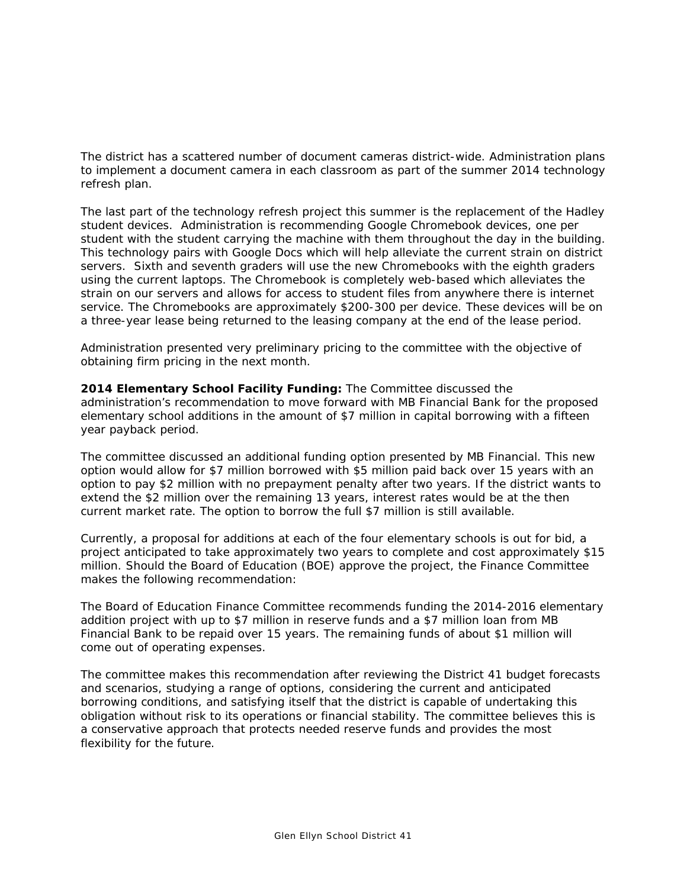The district has a scattered number of document cameras district-wide. Administration plans to implement a document camera in each classroom as part of the summer 2014 technology refresh plan.

The last part of the technology refresh project this summer is the replacement of the Hadley student devices. Administration is recommending Google Chromebook devices, one per student with the student carrying the machine with them throughout the day in the building. This technology pairs with Google Docs which will help alleviate the current strain on district servers. Sixth and seventh graders will use the new Chromebooks with the eighth graders using the current laptops. The Chromebook is completely web-based which alleviates the strain on our servers and allows for access to student files from anywhere there is internet service. The Chromebooks are approximately \$200-300 per device. These devices will be on a three-year lease being returned to the leasing company at the end of the lease period.

Administration presented very preliminary pricing to the committee with the objective of obtaining firm pricing in the next month.

**2014 Elementary School Facility Funding:** The Committee discussed the administration's recommendation to move forward with MB Financial Bank for the proposed elementary school additions in the amount of \$7 million in capital borrowing with a fifteen year payback period.

The committee discussed an additional funding option presented by MB Financial. This new option would allow for \$7 million borrowed with \$5 million paid back over 15 years with an option to pay \$2 million with no prepayment penalty after two years. If the district wants to extend the \$2 million over the remaining 13 years, interest rates would be at the then current market rate. The option to borrow the full \$7 million is still available.

Currently, a proposal for additions at each of the four elementary schools is out for bid, a project anticipated to take approximately two years to complete and cost approximately \$15 million. Should the Board of Education (BOE) approve the project, the Finance Committee makes the following recommendation:

The Board of Education Finance Committee recommends funding the 2014-2016 elementary addition project with up to \$7 million in reserve funds and a \$7 million loan from MB Financial Bank to be repaid over 15 years. The remaining funds of about \$1 million will come out of operating expenses.

The committee makes this recommendation after reviewing the District 41 budget forecasts and scenarios, studying a range of options, considering the current and anticipated borrowing conditions, and satisfying itself that the district is capable of undertaking this obligation without risk to its operations or financial stability. The committee believes this is a conservative approach that protects needed reserve funds and provides the most flexibility for the future.